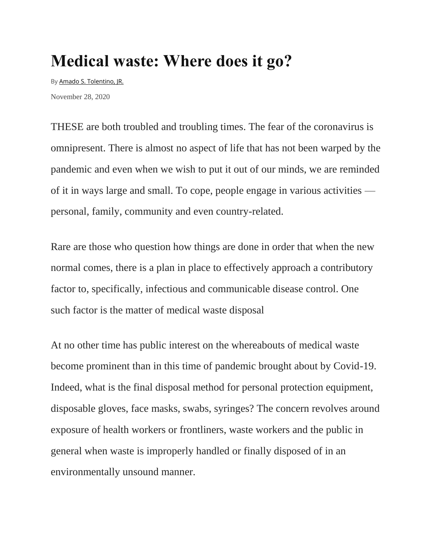## **Medical waste: Where does it go?**

By [Amado S. Tolentino, JR.](https://www.manilatimes.net/author/amado-tolentino/) November 28, 2020

THESE are both troubled and troubling times. The fear of the coronavirus is omnipresent. There is almost no aspect of life that has not been warped by the pandemic and even when we wish to put it out of our minds, we are reminded of it in ways large and small. To cope, people engage in various activities personal, family, community and even country-related.

Rare are those who question how things are done in order that when the new normal comes, there is a plan in place to effectively approach a contributory factor to, specifically, infectious and communicable disease control. One such factor is the matter of medical waste disposal

At no other time has public interest on the whereabouts of medical waste become prominent than in this time of pandemic brought about by Covid-19. Indeed, what is the final disposal method for personal protection equipment, disposable gloves, face masks, swabs, syringes? The concern revolves around exposure of health workers or frontliners, waste workers and the public in general when waste is improperly handled or finally disposed of in an environmentally unsound manner.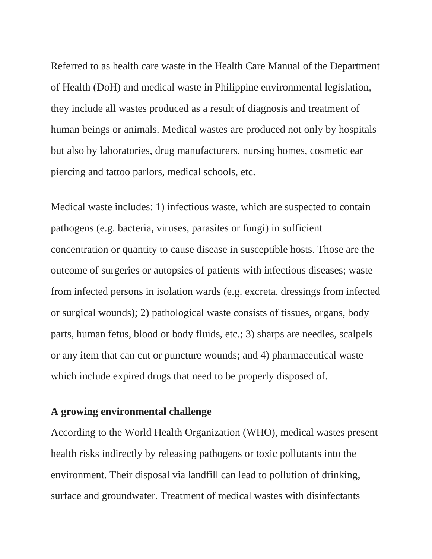Referred to as health care waste in the Health Care Manual of the Department of Health (DoH) and medical waste in Philippine environmental legislation, they include all wastes produced as a result of diagnosis and treatment of human beings or animals. Medical wastes are produced not only by hospitals but also by laboratories, drug manufacturers, nursing homes, cosmetic ear piercing and tattoo parlors, medical schools, etc.

Medical waste includes: 1) infectious waste, which are suspected to contain pathogens (e.g. bacteria, viruses, parasites or fungi) in sufficient concentration or quantity to cause disease in susceptible hosts. Those are the outcome of surgeries or autopsies of patients with infectious diseases; waste from infected persons in isolation wards (e.g. excreta, dressings from infected or surgical wounds); 2) pathological waste consists of tissues, organs, body parts, human fetus, blood or body fluids, etc.; 3) sharps are needles, scalpels or any item that can cut or puncture wounds; and 4) pharmaceutical waste which include expired drugs that need to be properly disposed of.

## **A growing environmental challenge**

According to the World Health Organization (WHO), medical wastes present health risks indirectly by releasing pathogens or toxic pollutants into the environment. Their disposal via landfill can lead to pollution of drinking, surface and groundwater. Treatment of medical wastes with disinfectants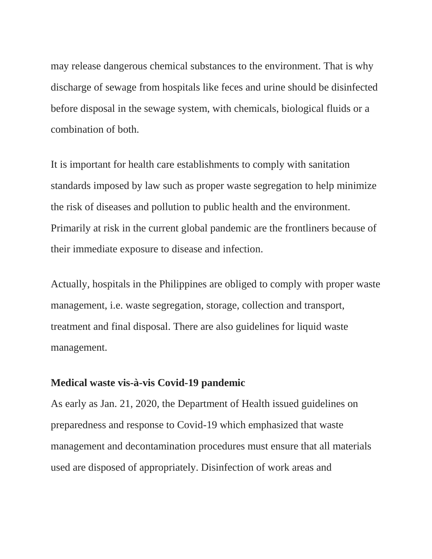may release dangerous chemical substances to the environment. That is why discharge of sewage from hospitals like feces and urine should be disinfected before disposal in the sewage system, with chemicals, biological fluids or a combination of both.

It is important for health care establishments to comply with sanitation standards imposed by law such as proper waste segregation to help minimize the risk of diseases and pollution to public health and the environment. Primarily at risk in the current global pandemic are the frontliners because of their immediate exposure to disease and infection.

Actually, hospitals in the Philippines are obliged to comply with proper waste management, i.e. waste segregation, storage, collection and transport, treatment and final disposal. There are also guidelines for liquid waste management.

## **Medical waste vis-à-vis Covid-19 pandemic**

As early as Jan. 21, 2020, the Department of Health issued guidelines on preparedness and response to Covid-19 which emphasized that waste management and decontamination procedures must ensure that all materials used are disposed of appropriately. Disinfection of work areas and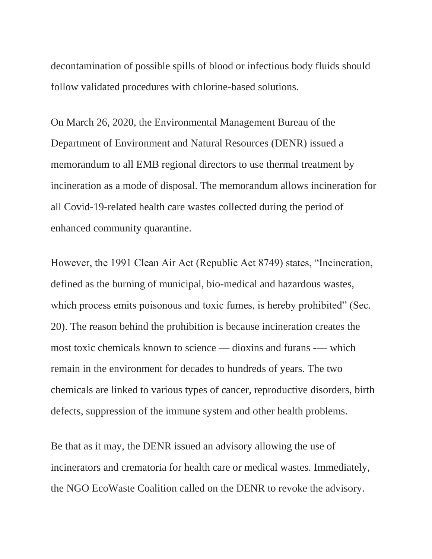decontamination of possible spills of blood or infectious body fluids should follow validated procedures with chlorine-based solutions.

On March 26, 2020, the Environmental Management Bureau of the Department of Environment and Natural Resources (DENR) issued a memorandum to all EMB regional directors to use thermal treatment by incineration as a mode of disposal. The memorandum allows incineration for all Covid-19-related health care wastes collected during the period of enhanced community quarantine.

However, the 1991 Clean Air Act (Republic Act 8749) states, "Incineration, defined as the burning of municipal, bio-medical and hazardous wastes, which process emits poisonous and toxic fumes, is hereby prohibited" (Sec. 20). The reason behind the prohibition is because incineration creates the most toxic chemicals known to science — dioxins and furans -— which remain in the environment for decades to hundreds of years. The two chemicals are linked to various types of cancer, reproductive disorders, birth defects, suppression of the immune system and other health problems.

Be that as it may, the DENR issued an advisory allowing the use of incinerators and crematoria for health care or medical wastes. Immediately, the NGO EcoWaste Coalition called on the DENR to revoke the advisory.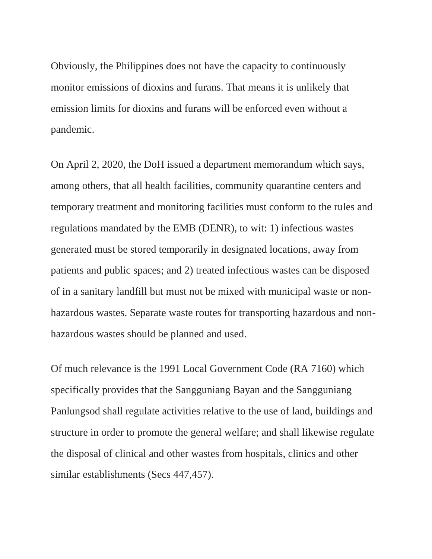Obviously, the Philippines does not have the capacity to continuously monitor emissions of dioxins and furans. That means it is unlikely that emission limits for dioxins and furans will be enforced even without a pandemic.

On April 2, 2020, the DoH issued a department memorandum which says, among others, that all health facilities, community quarantine centers and temporary treatment and monitoring facilities must conform to the rules and regulations mandated by the EMB (DENR), to wit: 1) infectious wastes generated must be stored temporarily in designated locations, away from patients and public spaces; and 2) treated infectious wastes can be disposed of in a sanitary landfill but must not be mixed with municipal waste or nonhazardous wastes. Separate waste routes for transporting hazardous and nonhazardous wastes should be planned and used.

Of much relevance is the 1991 Local Government Code (RA 7160) which specifically provides that the Sangguniang Bayan and the Sangguniang Panlungsod shall regulate activities relative to the use of land, buildings and structure in order to promote the general welfare; and shall likewise regulate the disposal of clinical and other wastes from hospitals, clinics and other similar establishments (Secs 447,457).